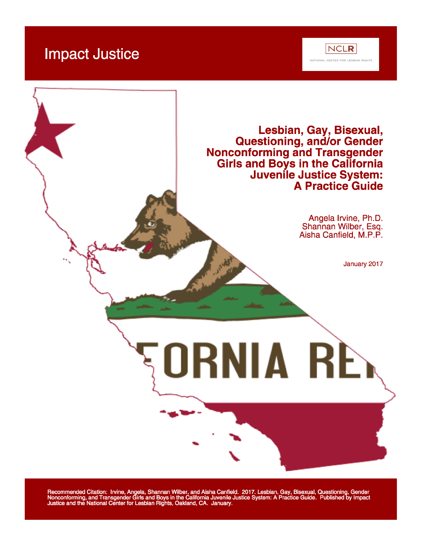# **Impact Justice**





Recommended Citation: Irvine, Angela, Shannan Wilber, and Aisha Canfield. 2017. Lesbian, Gay, Bisexual, Questioning, Gender<br>Nonconforming, and Transgender Girls and Boys in the California Juvenile Justice System: A Practic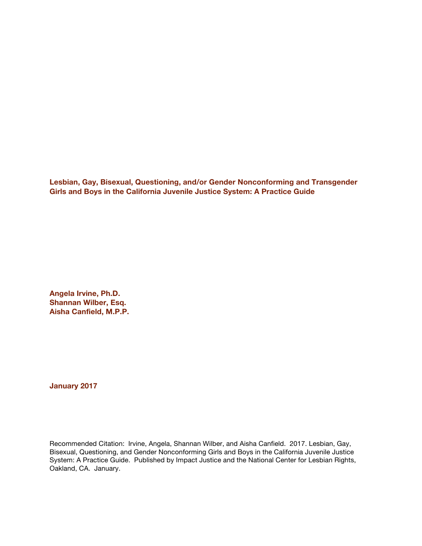**Lesbian, Gay, Bisexual, Questioning, and/or Gender Nonconforming and Transgender Girls and Boys in the California Juvenile Justice System: A Practice Guide**

**Angela Irvine, Ph.D. Shannan Wilber, Esq. Aisha Canfield, M.P.P.**

**January 2017**

Recommended Citation: Irvine, Angela, Shannan Wilber, and Aisha Canfield. 2017. Lesbian, Gay, Bisexual, Questioning, and Gender Nonconforming Girls and Boys in the California Juvenile Justice System: A Practice Guide. Published by Impact Justice and the National Center for Lesbian Rights, Oakland, CA. January.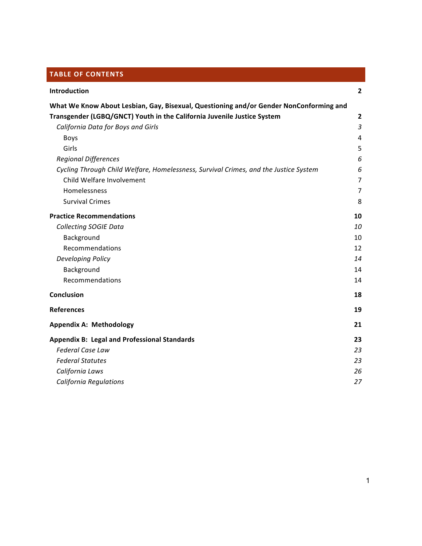# **TABLE OF CONTENTS**

| Introduction                                                                           | $\mathbf{2}$            |
|----------------------------------------------------------------------------------------|-------------------------|
| What We Know About Lesbian, Gay, Bisexual, Questioning and/or Gender NonConforming and |                         |
| Transgender (LGBQ/GNCT) Youth in the California Juvenile Justice System                | $\overline{\mathbf{c}}$ |
| California Data for Boys and Girls                                                     | $\mathfrak{Z}$          |
| <b>Boys</b>                                                                            | $\overline{4}$          |
| Girls                                                                                  | 5                       |
| <b>Regional Differences</b>                                                            | 6                       |
| Cycling Through Child Welfare, Homelessness, Survival Crimes, and the Justice System   | 6                       |
| Child Welfare Involvement                                                              | $\overline{7}$          |
| Homelessness                                                                           | $\overline{7}$          |
| <b>Survival Crimes</b>                                                                 | 8                       |
| <b>Practice Recommendations</b>                                                        | 10                      |
| <b>Collecting SOGIE Data</b>                                                           | 10                      |
| Background                                                                             | 10                      |
| Recommendations                                                                        | 12                      |
| <b>Developing Policy</b>                                                               | 14                      |
| Background                                                                             | 14                      |
| Recommendations                                                                        | 14                      |
| Conclusion                                                                             | 18                      |
| <b>References</b>                                                                      | 19                      |
| <b>Appendix A: Methodology</b>                                                         | 21                      |
| <b>Appendix B: Legal and Professional Standards</b>                                    | 23                      |
| <b>Federal Case Law</b>                                                                | 23                      |
| <b>Federal Statutes</b>                                                                | 23                      |
| California Laws                                                                        | 26                      |
| <b>California Regulations</b>                                                          | 27                      |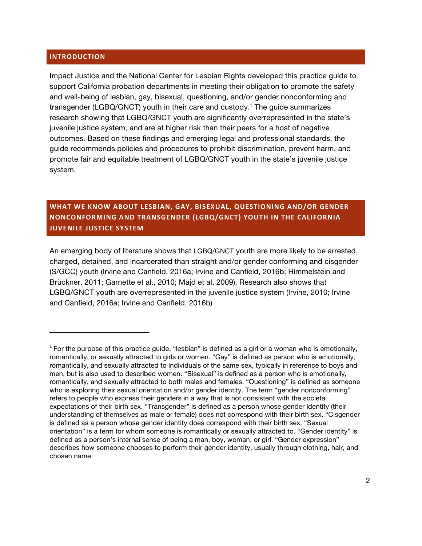#### **INTRODUCTION**

!!!!!!!!!!!!!!!!!!!!!!!!!!!!!!!!!!!!!!!!!!!!!!!!!!!!!!!!!!!!!!!!!!

Impact Justice and the National Center for Lesbian Rights developed this practice guide to support California probation departments in meeting their obligation to promote the safety and well-being of lesbian, gay, bisexual, questioning, and/or gender nonconforming and transgender (LGBQ/GNCT) youth in their care and custody.1 The guide summarizes research showing that LGBQ/GNCT youth are significantly overrepresented in the state's juvenile justice system, and are at higher risk than their peers for a host of negative outcomes. Based on these findings and emerging legal and professional standards, the guide recommends policies and procedures to prohibit discrimination, prevent harm, and promote fair and equitable treatment of LGBQ/GNCT youth in the state's juvenile justice system.

# **WHAT&WE&KNOW&ABOUT&LESBIAN,&GAY,&BISEXUAL,&QUESTIONING AND/OR&GENDER& NONCONFORMING AND TRANSGENDER (LGBQ/GNCT) YOUTH IN THE CALIFORNIA JUVENILE JUSTICE SYSTEM**

An emerging body of literature shows that LGBQ/GNCT youth are more likely to be arrested, charged, detained, and incarcerated than straight and/or gender conforming and cisgender (S/GCC) youth (Irvine and Canfield, 2016a; Irvine and Canfield, 2016b; Himmelstein and Brückner, 2011; Garnette et al., 2010; Majd et al, 2009). Research also shows that LGBQ/GNCT youth are overrepresented in the juvenile justice system (Irvine, 2010; Irvine and Canfield, 2016a; Irvine and Canfield, 2016b)

 $1$  For the purpose of this practice guide, "lesbian" is defined as a girl or a woman who is emotionally, romantically, or sexually attracted to girls or women. "Gay" is defined as person who is emotionally, romantically, and sexually attracted to individuals of the same sex, typically in reference to boys and men, but is also used to described women. "Bisexual" is defined as a person who is emotionally, romantically, and sexually attracted to both males and females. "Questioning" is defined as someone who is exploring their sexual orientation and/or gender identity. The term "gender nonconforming" refers to people who express their genders in a way that is not consistent with the societal expectations of their birth sex. "Transgender" is defined as a person whose gender identity (their understanding of themselves as male or female) does not correspond with their birth sex. "Cisgender is defined as a person whose gender identity does correspond with their birth sex. "Sexual orientation" is a term for whom someone is romantically or sexually attracted to. "Gender identity" is defined as a person's internal sense of being a man, boy, woman, or girl. "Gender expression" describes how someone chooses to perform their gender identity, usually through clothing, hair, and chosen name.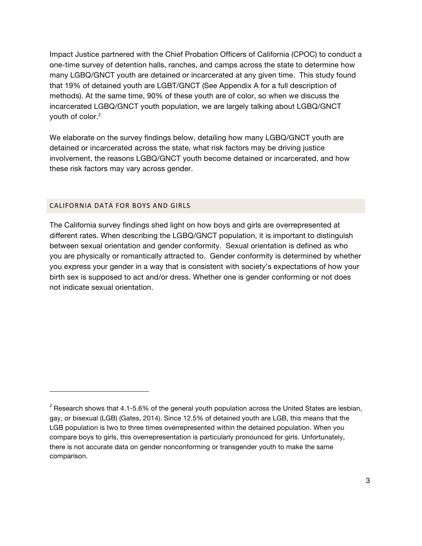Impact Justice partnered with the Chief Probation Officers of California (CPOC) to conduct a one-time survey of detention halls, ranches, and camps across the state to determine how many LGBQ/GNCT youth are detained or incarcerated at any given time. This study found that 19% of detained youth are LGBT/GNCT (See Appendix A for a full description of methods). At the same time, 90% of these youth are of color, so when we discuss the incarcerated LGBQ/GNCT youth population, we are largely talking about LGBQ/GNCT youth of color.<sup>2</sup>

We elaborate on the survey findings below, detailing how many LGBQ/GNCT youth are detained or incarcerated across the state, what risk factors may be driving justice involvement, the reasons LGBQ/GNCT youth become detained or incarcerated, and how these risk factors may vary across gender.

#### CALIFORNIA DATA FOR BOYS AND GIRLS

!!!!!!!!!!!!!!!!!!!!!!!!!!!!!!!!!!!!!!!!!!!!!!!!!!!!!!!!!!!!!!!!!!

The California survey findings shed light on how boys and girls are overrepresented at different rates. When describing the LGBQ/GNCT population, it is important to distinguish between sexual orientation and gender conformity. Sexual orientation is defined as who you are physically or romantically attracted to. Gender conformity is determined by whether you express your gender in a way that is consistent with society's expectations of how your birth sex is supposed to act and/or dress. Whether one is gender conforming or not does not indicate sexual orientation.

 $2$  Research shows that 4.1-5.6% of the general youth population across the United States are lesbian, gay, or bisexual (LGB) (Gates, 2014). Since 12.5% of detained youth are LGB, this means that the LGB population is two to three times overrepresented within the detained population. When you compare boys to girls, this overrepresentation is particularly pronounced for girls. Unfortunately, there is not accurate data on gender nonconforming or transgender youth to make the same comparison.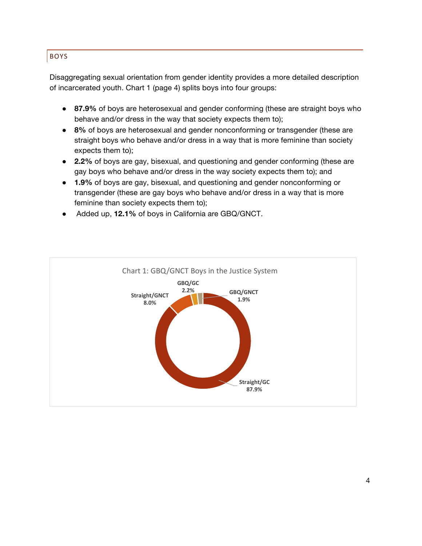# BOYS

Disaggregating sexual orientation from gender identity provides a more detailed description of incarcerated youth. Chart 1 (page 4) splits boys into four groups:

- **87.9%** of boys are heterosexual and gender conforming (these are straight boys who behave and/or dress in the way that society expects them to);
- **8%** of boys are heterosexual and gender nonconforming or transgender (these are straight boys who behave and/or dress in a way that is more feminine than society expects them to);
- **2.2%** of boys are gay, bisexual, and questioning and gender conforming (these are gay boys who behave and/or dress in the way society expects them to); and
- **1.9%** of boys are gay, bisexual, and questioning and gender nonconforming or transgender (these are gay boys who behave and/or dress in a way that is more feminine than society expects them to);
- Added up, **12.1%** of boys in California are GBQ/GNCT.

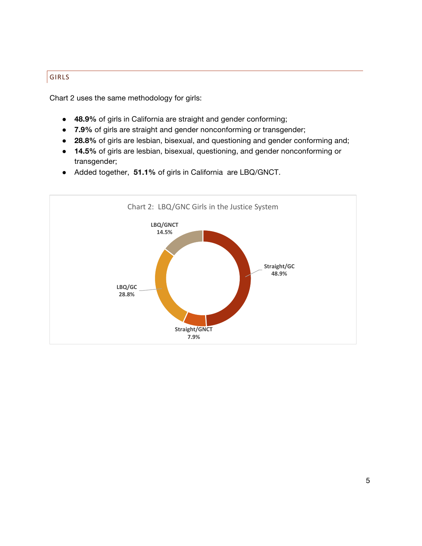## GIRLS

Chart 2 uses the same methodology for girls:

- **48.9%** of girls in California are straight and gender conforming;
- **7.9%** of girls are straight and gender nonconforming or transgender;
- **28.8%** of girls are lesbian, bisexual, and questioning and gender conforming and;
- **14.5%** of girls are lesbian, bisexual, questioning, and gender nonconforming or transgender;
- Added together, **51.1%** of girls in California are LBQ/GNCT.

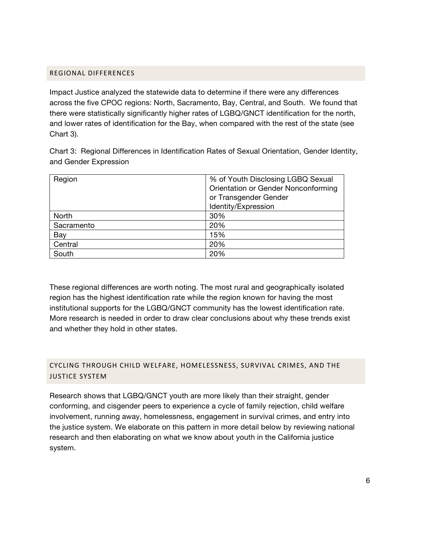#### REGIONAL!DIFFERENCES

Impact Justice analyzed the statewide data to determine if there were any differences across the five CPOC regions: North, Sacramento, Bay, Central, and South. We found that there were statistically significantly higher rates of LGBQ/GNCT identification for the north, and lower rates of identification for the Bay, when compared with the rest of the state (see Chart 3).

Chart 3: Regional Differences in Identification Rates of Sexual Orientation, Gender Identity, and Gender Expression

| Region     | % of Youth Disclosing LGBQ Sexual   |
|------------|-------------------------------------|
|            | Orientation or Gender Nonconforming |
|            | or Transgender Gender               |
|            | Identity/Expression                 |
| North      | 30%                                 |
| Sacramento | 20%                                 |
| Bay        | 15%                                 |
| Central    | 20%                                 |
| South      | 20%                                 |

These regional differences are worth noting. The most rural and geographically isolated region has the highest identification rate while the region known for having the most institutional supports for the LGBQ/GNCT community has the lowest identification rate. More research is needed in order to draw clear conclusions about why these trends exist and whether they hold in other states.

# CYCLING THROUGH CHILD WELFARE, HOMELESSNESS, SURVIVAL CRIMES, AND THE **JUSTICE SYSTEM**

Research shows that LGBQ/GNCT youth are more likely than their straight, gender conforming, and cisgender peers to experience a cycle of family rejection, child welfare involvement, running away, homelessness, engagement in survival crimes, and entry into the justice system. We elaborate on this pattern in more detail below by reviewing national research and then elaborating on what we know about youth in the California justice system.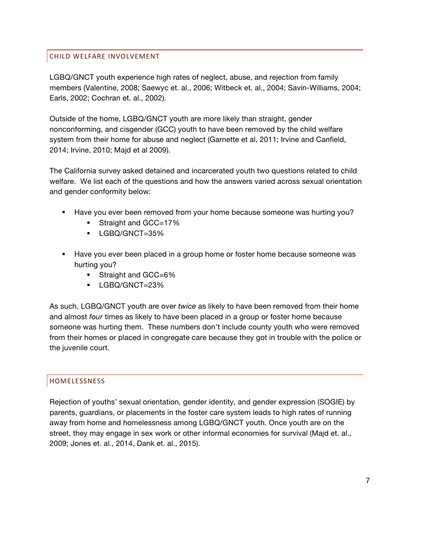## CHILD!WELFARE!INVOLVEMENT

LGBQ/GNCT youth experience high rates of neglect, abuse, and rejection from family members (Valentine, 2008; Saewyc et. al., 2006; Witbeck et. al., 2004; Savin-Williams, 2004; Earls, 2002; Cochran et. al., 2002).

Outside of the home, LGBQ/GNCT youth are more likely than straight, gender nonconforming, and cisgender (GCC) youth to have been removed by the child welfare system from their home for abuse and neglect (Garnette et al, 2011; Irvine and Canfield, 2014; Irvine, 2010; Majd et al 2009).

The California survey asked detained and incarcerated youth two questions related to child welfare. We list each of the questions and how the answers varied across sexual orientation and gender conformity below:

- ! Have you ever been removed from your home because someone was hurting you?
	- Straight and GCC=17%
	- $\blacksquare$  LGBQ/GNCT=35%
- ! Have you ever been placed in a group home or foster home because someone was hurting you?
	- Straight and GCC=6%
	- ! LGBQ/GNCT=23%

As such, LGBQ/GNCT youth are over *twice* as likely to have been removed from their home and almost *four* times as likely to have been placed in a group or foster home because someone was hurting them. These numbers don't include county youth who were removed from their homes or placed in congregate care because they got in trouble with the police or the juvenile court.

## HOMELESSNESS

Rejection of youths' sexual orientation, gender identity, and gender expression (SOGIE) by parents, guardians, or placements in the foster care system leads to high rates of running away from home and homelessness among LGBQ/GNCT youth. Once youth are on the street, they may engage in sex work or other informal economies for survival (Majd et. al., 2009; Jones et. al., 2014, Dank et. al., 2015).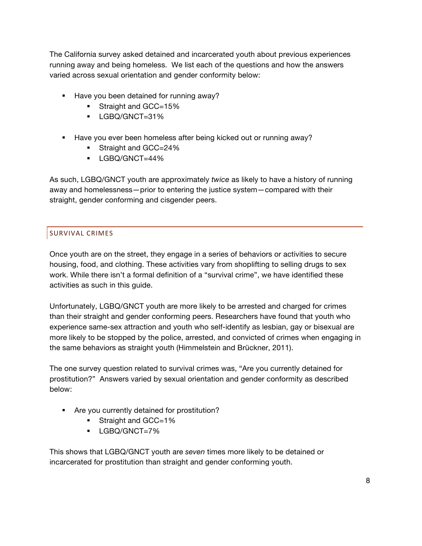The California survey asked detained and incarcerated youth about previous experiences running away and being homeless. We list each of the questions and how the answers varied across sexual orientation and gender conformity below:

- ! Have you been detained for running away?
	- **EXECUTE:** Straight and GCC=15%
	- ! LGBQ/GNCT=31%
- ! Have you ever been homeless after being kicked out or running away?
	- **Straight and GCC=24%**
	- ! LGBQ/GNCT=44%

As such, LGBQ/GNCT youth are approximately *twice* as likely to have a history of running away and homelessness—prior to entering the justice system—compared with their straight, gender conforming and cisgender peers.

# SURVIVAL CRIMES

Once youth are on the street, they engage in a series of behaviors or activities to secure housing, food, and clothing. These activities vary from shoplifting to selling drugs to sex work. While there isn't a formal definition of a "survival crime", we have identified these activities as such in this guide.

Unfortunately, LGBQ/GNCT youth are more likely to be arrested and charged for crimes than their straight and gender conforming peers. Researchers have found that youth who experience same-sex attraction and youth who self-identify as lesbian, gay or bisexual are more likely to be stopped by the police, arrested, and convicted of crimes when engaging in the same behaviors as straight youth (Himmelstein and Brückner, 2011).

The one survey question related to survival crimes was, "Are you currently detained for prostitution?" Answers varied by sexual orientation and gender conformity as described below:

- ! Are you currently detained for prostitution?
	- Straight and GCC=1%
	- ! LGBQ/GNCT=7%

This shows that LGBQ/GNCT youth are *seven* times more likely to be detained or incarcerated for prostitution than straight and gender conforming youth.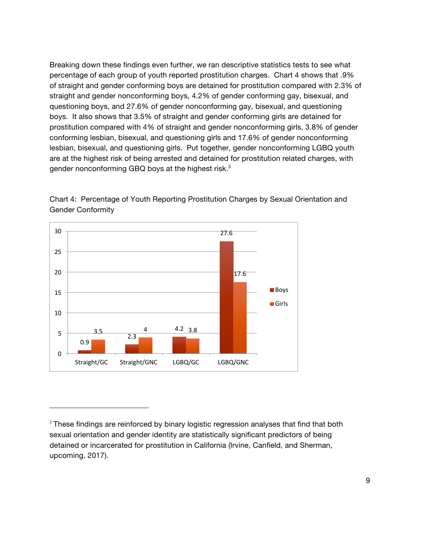Breaking down these findings even further, we ran descriptive statistics tests to see what percentage of each group of youth reported prostitution charges. Chart 4 shows that .9% of straight and gender conforming boys are detained for prostitution compared with 2.3% of straight and gender nonconforming boys, 4.2% of gender conforming gay, bisexual, and questioning boys, and 27.6% of gender nonconforming gay, bisexual, and questioning boys. It also shows that 3.5% of straight and gender conforming girls are detained for prostitution compared with 4% of straight and gender nonconforming girls, 3.8% of gender conforming lesbian, bisexual, and questioning girls and 17.6% of gender nonconforming lesbian, bisexual, and questioning girls. Put together, gender nonconforming LGBQ youth are at the highest risk of being arrested and detained for prostitution related charges, with gender nonconforming GBQ boys at the highest risk.<sup>3</sup>



!!!!!!!!!!!!!!!!!!!!!!!!!!!!!!!!!!!!!!!!!!!!!!!!!!!!!!!!!!!!!!!!!!

Chart 4: Percentage of Youth Reporting Prostitution Charges by Sexual Orientation and Gender Conformity

 $3$  These findings are reinforced by binary logistic regression analyses that find that both sexual orientation and gender identity are statistically significant predictors of being detained or incarcerated for prostitution in California (Irvine, Canfield, and Sherman, upcoming, 2017).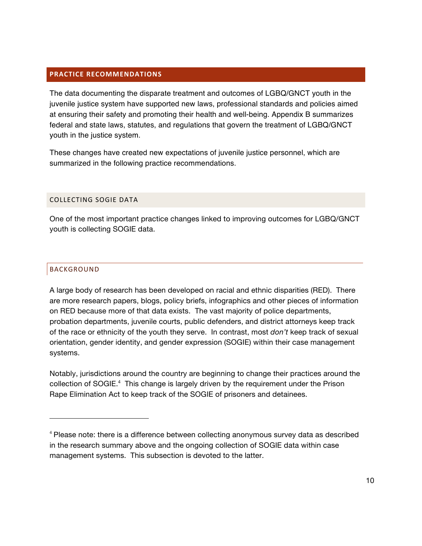#### **PRACTICE RECOMMENDATIONS**

The data documenting the disparate treatment and outcomes of LGBQ/GNCT youth in the juvenile justice system have supported new laws, professional standards and policies aimed at ensuring their safety and promoting their health and well-being. Appendix B summarizes federal and state laws, statutes, and regulations that govern the treatment of LGBQ/GNCT youth in the justice system.

These changes have created new expectations of juvenile justice personnel, which are summarized in the following practice recommendations.

#### COLLECTING SOGIE DATA

!!!!!!!!!!!!!!!!!!!!!!!!!!!!!!!!!!!!!!!!!!!!!!!!!!!!!!!!!!!!!!!!!!

One of the most important practice changes linked to improving outcomes for LGBQ/GNCT youth is collecting SOGIE data.

## BACKGROUND

A large body of research has been developed on racial and ethnic disparities (RED). There are more research papers, blogs, policy briefs, infographics and other pieces of information on RED because more of that data exists. The vast majority of police departments, probation departments, juvenile courts, public defenders, and district attorneys keep track of the race or ethnicity of the youth they serve. In contrast, most *don't* keep track of sexual orientation, gender identity, and gender expression (SOGIE) within their case management systems.

Notably, jurisdictions around the country are beginning to change their practices around the collection of SOGIE.<sup>4</sup> This change is largely driven by the requirement under the Prison Rape Elimination Act to keep track of the SOGIE of prisoners and detainees.

<sup>4</sup> Please note: there is a difference between collecting anonymous survey data as described in the research summary above and the ongoing collection of SOGIE data within case management systems. This subsection is devoted to the latter.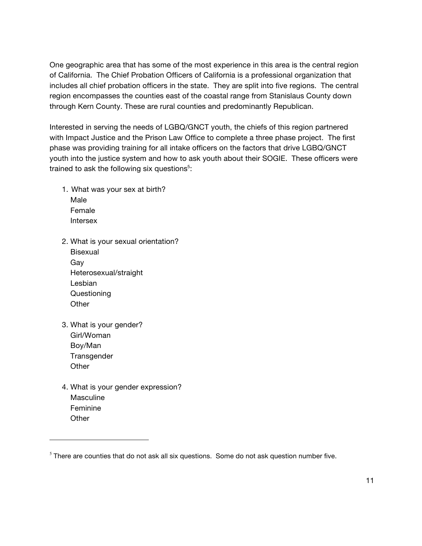One geographic area that has some of the most experience in this area is the central region of California. The Chief Probation Officers of California is a professional organization that includes all chief probation officers in the state. They are split into five regions. The central region encompasses the counties east of the coastal range from Stanislaus County down through Kern County. These are rural counties and predominantly Republican.

Interested in serving the needs of LGBQ/GNCT youth, the chiefs of this region partnered with Impact Justice and the Prison Law Office to complete a three phase project. The first phase was providing training for all intake officers on the factors that drive LGBQ/GNCT youth into the justice system and how to ask youth about their SOGIE. These officers were trained to ask the following six questions $5$ :

- 1. What was your sex at birth? Male Female Intersex
- 2. What is your sexual orientation? Bisexual Gay Heterosexual/straight Lesbian Questioning **Other**
- 3. What is your gender? Girl/Woman Boy/Man **Transgender Other**

!!!!!!!!!!!!!!!!!!!!!!!!!!!!!!!!!!!!!!!!!!!!!!!!!!!!!!!!!!!!!!!!!!

4. What is your gender expression? **Masculine** Feminine **Other** 

 $<sup>5</sup>$  There are counties that do not ask all six questions. Some do not ask question number five.</sup>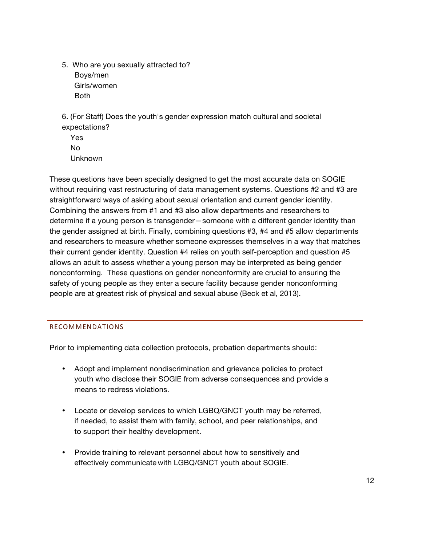5. Who are you sexually attracted to? Boys/men Girls/women Both

6. (For Staff) Does the youth's gender expression match cultural and societal expectations?

Yes No Unknown

These questions have been specially designed to get the most accurate data on SOGIE without requiring vast restructuring of data management systems. Questions #2 and #3 are straightforward ways of asking about sexual orientation and current gender identity. Combining the answers from #1 and #3 also allow departments and researchers to determine if a young person is transgender—someone with a different gender identity than the gender assigned at birth. Finally, combining questions #3, #4 and #5 allow departments and researchers to measure whether someone expresses themselves in a way that matches their current gender identity. Question #4 relies on youth self-perception and question #5 allows an adult to assess whether a young person may be interpreted as being gender nonconforming. These questions on gender nonconformity are crucial to ensuring the safety of young people as they enter a secure facility because gender nonconforming people are at greatest risk of physical and sexual abuse (Beck et al, 2013).

# RECOMMENDATIONS

Prior to implementing data collection protocols, probation departments should:

- Adopt and implement nondiscrimination and grievance policies to protect youth who disclose their SOGIE from adverse consequences and provide a means to redress violations.
- Locate or develop services to which LGBQ/GNCT youth may be referred, if needed, to assist them with family, school, and peer relationships, and to support their healthy development.
- Provide training to relevant personnel about how to sensitively and effectively communicate with LGBQ/GNCT youth about SOGIE.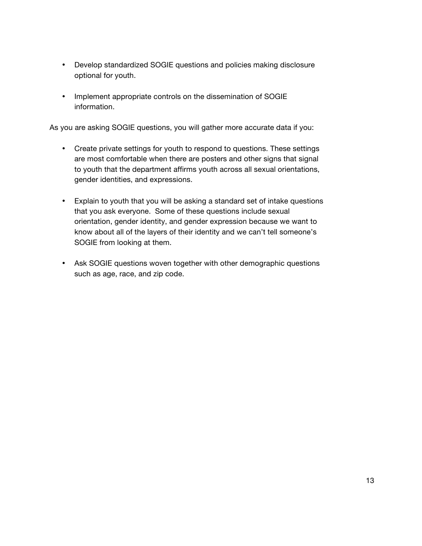- Develop standardized SOGIE questions and policies making disclosure optional for youth.
- Implement appropriate controls on the dissemination of SOGIE information.

As you are asking SOGIE questions, you will gather more accurate data if you:

- Create private settings for youth to respond to questions. These settings are most comfortable when there are posters and other signs that signal to youth that the department affirms youth across all sexual orientations, gender identities, and expressions.
- Explain to youth that you will be asking a standard set of intake questions that you ask everyone. Some of these questions include sexual orientation, gender identity, and gender expression because we want to know about all of the layers of their identity and we can't tell someone's SOGIE from looking at them.
- Ask SOGIE questions woven together with other demographic questions such as age, race, and zip code.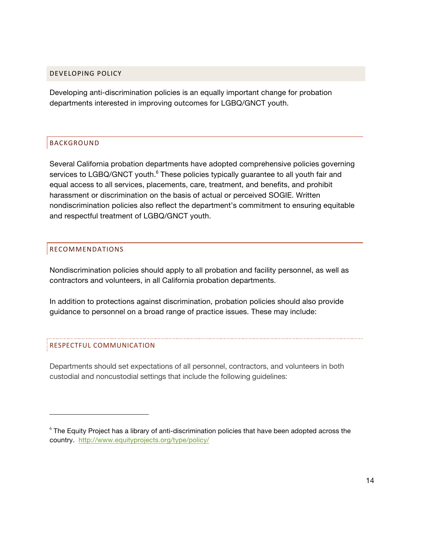#### DEVELOPING POLICY

Developing anti-discrimination policies is an equally important change for probation departments interested in improving outcomes for LGBQ/GNCT youth.

## BACKGROUND

Several California probation departments have adopted comprehensive policies governing services to LGBQ/GNCT youth.<sup>6</sup> These policies typically guarantee to all youth fair and equal access to all services, placements, care, treatment, and benefits, and prohibit harassment or discrimination on the basis of actual or perceived SOGIE. Written nondiscrimination policies also reflect the department's commitment to ensuring equitable and respectful treatment of LGBQ/GNCT youth.

## RECOMMENDATIONS

Nondiscrimination policies should apply to all probation and facility personnel, as well as contractors and volunteers, in all California probation departments.

In addition to protections against discrimination, probation policies should also provide guidance to personnel on a broad range of practice issues. These may include:

#### RESPECTFUL COMMUNICATION

!!!!!!!!!!!!!!!!!!!!!!!!!!!!!!!!!!!!!!!!!!!!!!!!!!!!!!!!!!!!!!!!!!

Departments should set expectations of all personnel, contractors, and volunteers in both custodial and noncustodial settings that include the following guidelines:

<sup>&</sup>lt;sup>6</sup> The Equity Project has a library of anti-discrimination policies that have been adopted across the country. http://www.equityprojects.org/type/policy/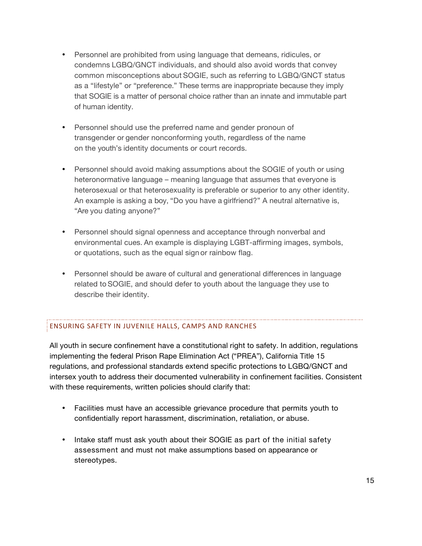- Personnel are prohibited from using language that demeans, ridicules, or condemns LGBQ/GNCT individuals, and should also avoid words that convey common misconceptions about SOGIE, such as referring to LGBQ/GNCT status as a "lifestyle" or "preference." These terms are inappropriate because they imply that SOGIE is a matter of personal choice rather than an innate and immutable part of human identity.
- Personnel should use the preferred name and gender pronoun of transgender or gender nonconforming youth, regardless of the name on the youth's identity documents or court records.
- Personnel should avoid making assumptions about the SOGIE of youth or using heteronormative language – meaning language that assumes that everyone is heterosexual or that heterosexuality is preferable or superior to any other identity. An example is asking a boy, "Do you have a girlfriend?" A neutral alternative is, "Are you dating anyone?"
- Personnel should signal openness and acceptance through nonverbal and environmental cues. An example is displaying LGBT-affirming images, symbols, or quotations, such as the equal sign or rainbow flag.
- Personnel should be aware of cultural and generational differences in language related to SOGIE, and should defer to youth about the language they use to describe their identity.

# ENSURING SAFETY IN JUVENILE HALLS, CAMPS AND RANCHES

All youth in secure confinement have a constitutional right to safety. In addition, regulations implementing the federal Prison Rape Elimination Act ("PREA"), California Title 15 regulations, and professional standards extend specific protections to LGBQ/GNCT and intersex youth to address their documented vulnerability in confinement facilities. Consistent with these requirements, written policies should clarify that:

- Facilities must have an accessible grievance procedure that permits youth to confidentially report harassment, discrimination, retaliation, or abuse.
- Intake staff must ask youth about their SOGIE as part of the initial safety assessment and must not make assumptions based on appearance or stereotypes.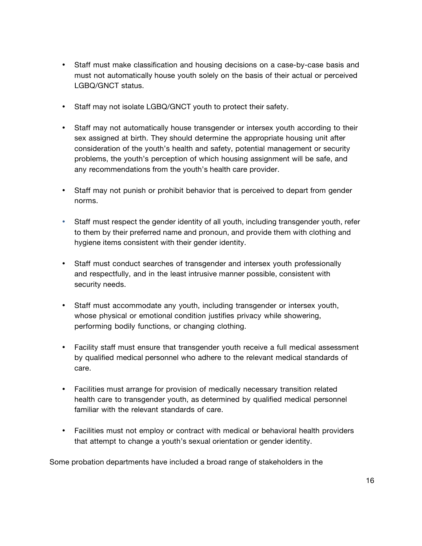- Staff must make classification and housing decisions on a case-by-case basis and must not automatically house youth solely on the basis of their actual or perceived LGBQ/GNCT status.
- Staff may not isolate LGBQ/GNCT youth to protect their safety.
- Staff may not automatically house transgender or intersex youth according to their sex assigned at birth. They should determine the appropriate housing unit after consideration of the youth's health and safety, potential management or security problems, the youth's perception of which housing assignment will be safe, and any recommendations from the youth's health care provider.
- Staff may not punish or prohibit behavior that is perceived to depart from gender norms.
- Staff must respect the gender identity of all youth, including transgender youth, refer to them by their preferred name and pronoun, and provide them with clothing and hygiene items consistent with their gender identity.
- Staff must conduct searches of transgender and intersex youth professionally and respectfully, and in the least intrusive manner possible, consistent with security needs.
- Staff must accommodate any youth, including transgender or intersex youth, whose physical or emotional condition justifies privacy while showering, performing bodily functions, or changing clothing.
- Facility staff must ensure that transgender youth receive a full medical assessment by qualified medical personnel who adhere to the relevant medical standards of care.
- Facilities must arrange for provision of medically necessary transition related health care to transgender youth, as determined by qualified medical personnel familiar with the relevant standards of care.
- Facilities must not employ or contract with medical or behavioral health providers that attempt to change a youth's sexual orientation or gender identity.

Some probation departments have included a broad range of stakeholders in the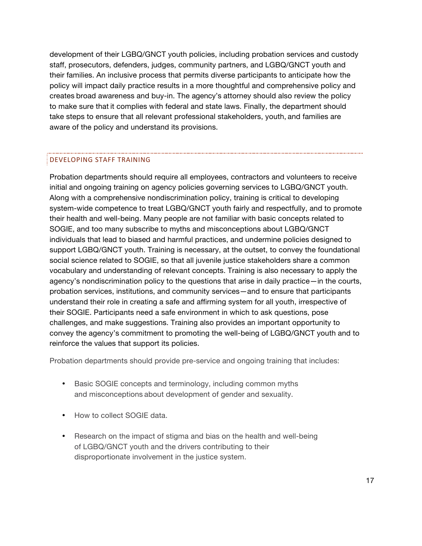development of their LGBQ/GNCT youth policies, including probation services and custody staff, prosecutors, defenders, judges, community partners, and LGBQ/GNCT youth and their families. An inclusive process that permits diverse participants to anticipate how the policy will impact daily practice results in a more thoughtful and comprehensive policy and creates broad awareness and buy-in. The agency's attorney should also review the policy to make sure that it complies with federal and state laws. Finally, the department should take steps to ensure that all relevant professional stakeholders, youth, and families are aware of the policy and understand its provisions.

#### DEVELOPING STAFF TRAINING

Probation departments should require all employees, contractors and volunteers to receive initial and ongoing training on agency policies governing services to LGBQ/GNCT youth. Along with a comprehensive nondiscrimination policy, training is critical to developing system-wide competence to treat LGBQ/GNCT youth fairly and respectfully, and to promote their health and well-being. Many people are not familiar with basic concepts related to SOGIE, and too many subscribe to myths and misconceptions about LGBQ/GNCT individuals that lead to biased and harmful practices, and undermine policies designed to support LGBQ/GNCT youth. Training is necessary, at the outset, to convey the foundational social science related to SOGIE, so that all juvenile justice stakeholders share a common vocabulary and understanding of relevant concepts. Training is also necessary to apply the agency's nondiscrimination policy to the questions that arise in daily practice—in the courts, probation services, institutions, and community services—and to ensure that participants understand their role in creating a safe and affirming system for all youth, irrespective of their SOGIE. Participants need a safe environment in which to ask questions, pose challenges, and make suggestions. Training also provides an important opportunity to convey the agency's commitment to promoting the well-being of LGBQ/GNCT youth and to reinforce the values that support its policies.

Probation departments should provide pre-service and ongoing training that includes:

- Basic SOGIE concepts and terminology, including common myths and misconceptions about development of gender and sexuality.
- How to collect SOGIE data.
- Research on the impact of stigma and bias on the health and well-being of LGBQ/GNCT youth and the drivers contributing to their disproportionate involvement in the justice system.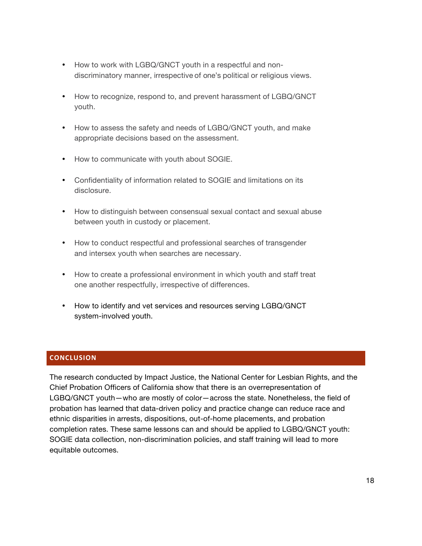- How to work with LGBQ/GNCT youth in a respectful and nondiscriminatory manner, irrespective of one's political or religious views.
- How to recognize, respond to, and prevent harassment of LGBQ/GNCT youth.
- How to assess the safety and needs of LGBQ/GNCT youth, and make appropriate decisions based on the assessment.
- How to communicate with youth about SOGIE.
- Confidentiality of information related to SOGIE and limitations on its disclosure.
- How to distinguish between consensual sexual contact and sexual abuse between youth in custody or placement.
- How to conduct respectful and professional searches of transgender and intersex youth when searches are necessary.
- How to create a professional environment in which youth and staff treat one another respectfully, irrespective of differences.
- How to identify and vet services and resources serving LGBQ/GNCT system-involved youth.

#### **CONCLUSION**

The research conducted by Impact Justice, the National Center for Lesbian Rights, and the Chief Probation Officers of California show that there is an overrepresentation of LGBQ/GNCT youth—who are mostly of color—across the state. Nonetheless, the field of probation has learned that data-driven policy and practice change can reduce race and ethnic disparities in arrests, dispositions, out-of-home placements, and probation completion rates. These same lessons can and should be applied to LGBQ/GNCT youth: SOGIE data collection, non-discrimination policies, and staff training will lead to more equitable outcomes.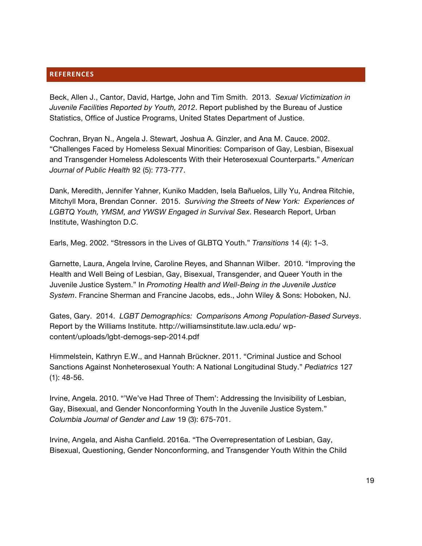#### **REFERENCES**

Beck, Allen J., Cantor, David, Hartge, John and Tim Smith. 2013. *Sexual Victimization in Juvenile Facilities Reported by Youth, 2012*. Report published by the Bureau of Justice Statistics, Office of Justice Programs, United States Department of Justice.

Cochran, Bryan N., Angela J. Stewart, Joshua A. Ginzler, and Ana M. Cauce. 2002. "Challenges Faced by Homeless Sexual Minorities: Comparison of Gay, Lesbian, Bisexual and Transgender Homeless Adolescents With their Heterosexual Counterparts." *American Journal of Public Health* 92 (5): 773-777.

Dank, Meredith, Jennifer Yahner, Kuniko Madden, Isela Bañuelos, Lilly Yu, Andrea Ritchie, Mitchyll Mora, Brendan Conner. 2015. *Surviving the Streets of New York: Experiences of LGBTQ Youth, YMSM, and YWSW Engaged in Survival Sex*. Research Report, Urban Institute, Washington D.C.

Earls, Meg. 2002. "Stressors in the Lives of GLBTQ Youth." *Transitions* 14 (4): 1–3.

Garnette, Laura, Angela Irvine, Caroline Reyes, and Shannan Wilber. 2010. "Improving the Health and Well Being of Lesbian, Gay, Bisexual, Transgender, and Queer Youth in the Juvenile Justice System." In *Promoting Health and Well-Being in the Juvenile Justice System*. Francine Sherman and Francine Jacobs, eds., John Wiley & Sons: Hoboken, NJ.

Gates, Gary. 2014. *LGBT Demographics: Comparisons Among Population-Based Surveys*. Report by the Williams Institute. http://williamsinstitute.law.ucla.edu/ wpcontent/uploads/lgbt-demogs-sep-2014.pdf

Himmelstein, Kathryn E.W., and Hannah Brückner. 2011. "Criminal Justice and School Sanctions Against Nonheterosexual Youth: A National Longitudinal Study." *Pediatrics* 127 (1): 48-56.

Irvine, Angela. 2010. "'We've Had Three of Them': Addressing the Invisibility of Lesbian, Gay, Bisexual, and Gender Nonconforming Youth In the Juvenile Justice System." *Columbia Journal of Gender and Law* 19 (3): 675-701.

Irvine, Angela, and Aisha Canfield. 2016a. "The Overrepresentation of Lesbian, Gay, Bisexual, Questioning, Gender Nonconforming, and Transgender Youth Within the Child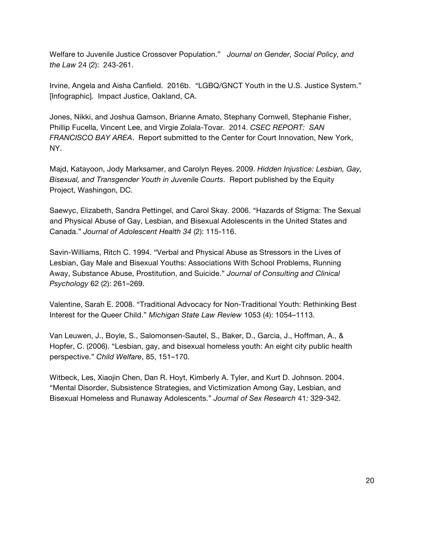Welfare to Juvenile Justice Crossover Population." *Journal on Gender, Social Policy, and the Law* 24 (2): 243-261.

Irvine, Angela and Aisha Canfield. 2016b. *"*LGBQ/GNCT Youth in the U.S. Justice System." [Infographic]*.* Impact Justice, Oakland, CA.

Jones, Nikki, and Joshua Gamson, Brianne Amato, Stephany Cornwell, Stephanie Fisher, Phillip Fucella, Vincent Lee, and Virgie Zolala-Tovar. 2014. *CSEC REPORT: SAN FRANCISCO BAY AREA*. Report submitted to the Center for Court Innovation, New York, NY.

Majd, Katayoon, Jody Marksamer, and Carolyn Reyes. 2009. *Hidden Injustice: Lesbian, Gay, Bisexual, and Transgender Youth in Juvenile Courts*. Report published by the Equity Project, Washingon, DC.

Saewyc, Elizabeth, Sandra Pettingel, and Carol Skay. 2006. "Hazards of Stigma: The Sexual and Physical Abuse of Gay, Lesbian, and Bisexual Adolescents in the United States and Canada." *Journal of Adolescent Health 34* (2): 115-116.

Savin-Williams, Ritch C. 1994. "Verbal and Physical Abuse as Stressors in the Lives of Lesbian, Gay Male and Bisexual Youths: Associations With School Problems, Running Away, Substance Abuse, Prostitution, and Suicide." *Journal of Consulting and Clinical Psychology* 62 (2): 261–269.

Valentine, Sarah E. 2008. "Traditional Advocacy for Non-Traditional Youth: Rethinking Best Interest for the Queer Child." *Michigan State Law Review* 1053 (4): 1054–1113.

Van Leuwen, J., Boyle, S., Salomonsen-Sautel, S., Baker, D., Garcia, J., Hoffman, A., & Hopfer, C. (2006). "Lesbian, gay, and bisexual homeless youth: An eight city public health perspective." *Child Welfare*, 85, 151–170.

Witbeck, Les, Xiaojin Chen, Dan R. Hoyt, Kimberly A. Tyler, and Kurt D. Johnson. 2004. "Mental Disorder, Subsistence Strategies, and Victimization Among Gay, Lesbian, and Bisexual Homeless and Runaway Adolescents." *Journal of Sex Research* 41*:* 329-342.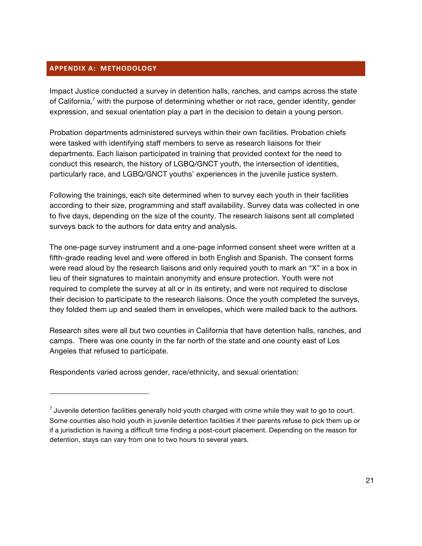#### **APPENDIX A: METHODOLOGY**

!!!!!!!!!!!!!!!!!!!!!!!!!!!!!!!!!!!!!!!!!!!!!!!!!!!!!!!!!!!!!!!!!!

Impact Justice conducted a survey in detention halls, ranches, and camps across the state of California,<sup> $7$ </sup> with the purpose of determining whether or not race, gender identity, gender expression, and sexual orientation play a part in the decision to detain a young person.

Probation departments administered surveys within their own facilities. Probation chiefs were tasked with identifying staff members to serve as research liaisons for their departments. Each liaison participated in training that provided context for the need to conduct this research, the history of LGBQ/GNCT youth, the intersection of identities, particularly race, and LGBQ/GNCT youths' experiences in the juvenile justice system.

Following the trainings, each site determined when to survey each youth in their facilities according to their size, programming and staff availability. Survey data was collected in one to five days, depending on the size of the county. The research liaisons sent all completed surveys back to the authors for data entry and analysis.

The one-page survey instrument and a one-page informed consent sheet were written at a fifth-grade reading level and were offered in both English and Spanish. The consent forms were read aloud by the research liaisons and only required youth to mark an "X" in a box in lieu of their signatures to maintain anonymity and ensure protection. Youth were not required to complete the survey at all or in its entirety, and were not required to disclose their decision to participate to the research liaisons. Once the youth completed the surveys, they folded them up and sealed them in envelopes, which were mailed back to the authors.

Research sites were all but two counties in California that have detention halls, ranches, and camps. There was one county in the far north of the state and one county east of Los Angeles that refused to participate.

Respondents varied across gender, race/ethnicity, and sexual orientation:

 $<sup>7</sup>$  Juvenile detention facilities generally hold youth charged with crime while they wait to go to court.</sup> Some counties also hold youth in juvenile detention facilities if their parents refuse to pick them up or if a jurisdiction is having a difficult time finding a post-court placement. Depending on the reason for detention, stays can vary from one to two hours to several years.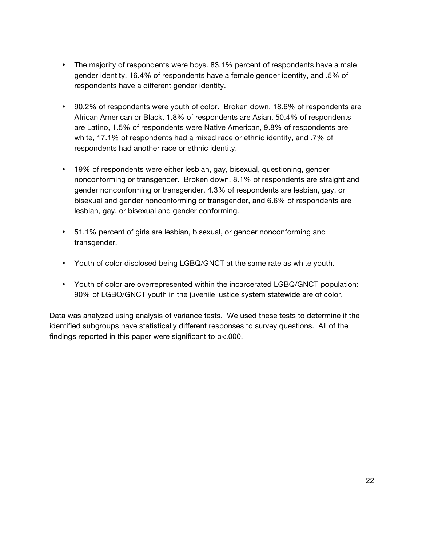- The majority of respondents were boys. 83.1% percent of respondents have a male gender identity, 16.4% of respondents have a female gender identity, and .5% of respondents have a different gender identity.
- 90.2% of respondents were youth of color. Broken down, 18.6% of respondents are African American or Black, 1.8% of respondents are Asian, 50.4% of respondents are Latino, 1.5% of respondents were Native American, 9.8% of respondents are white, 17.1% of respondents had a mixed race or ethnic identity, and .7% of respondents had another race or ethnic identity.
- 19% of respondents were either lesbian, gay, bisexual, questioning, gender nonconforming or transgender. Broken down, 8.1% of respondents are straight and gender nonconforming or transgender, 4.3% of respondents are lesbian, gay, or bisexual and gender nonconforming or transgender, and 6.6% of respondents are lesbian, gay, or bisexual and gender conforming.
- 51.1% percent of girls are lesbian, bisexual, or gender nonconforming and transgender.
- Youth of color disclosed being LGBQ/GNCT at the same rate as white youth.
- Youth of color are overrepresented within the incarcerated LGBQ/GNCT population: 90% of LGBQ/GNCT youth in the juvenile justice system statewide are of color.

Data was analyzed using analysis of variance tests. We used these tests to determine if the identified subgroups have statistically different responses to survey questions. All of the findings reported in this paper were significant to p<.000.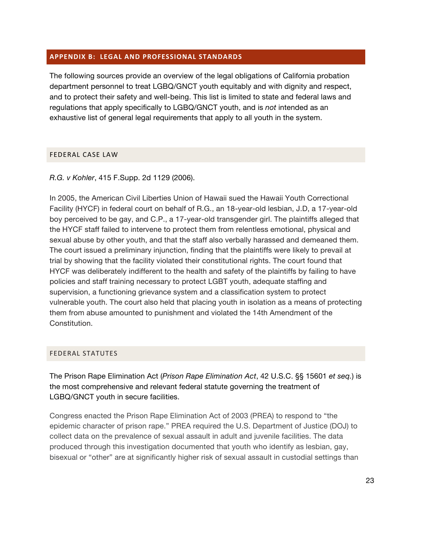#### **APPENDIX B: LEGAL AND PROFESSIONAL STANDARDS**

The following sources provide an overview of the legal obligations of California probation department personnel to treat LGBQ/GNCT youth equitably and with dignity and respect, and to protect their safety and well-being. This list is limited to state and federal laws and regulations that apply specifically to LGBQ/GNCT youth, and is *not* intended as an exhaustive list of general legal requirements that apply to all youth in the system.

#### FEDERAL CASE LAW

*R.G. v Kohler*, 415 F.Supp. 2d 1129 (2006).

In 2005, the American Civil Liberties Union of Hawaii sued the Hawaii Youth Correctional Facility (HYCF) in federal court on behalf of R.G., an 18-year-old lesbian, J.D, a 17-year-old boy perceived to be gay, and C.P., a 17-year-old transgender girl. The plaintiffs alleged that the HYCF staff failed to intervene to protect them from relentless emotional, physical and sexual abuse by other youth, and that the staff also verbally harassed and demeaned them. The court issued a preliminary injunction, finding that the plaintiffs were likely to prevail at trial by showing that the facility violated their constitutional rights. The court found that HYCF was deliberately indifferent to the health and safety of the plaintiffs by failing to have policies and staff training necessary to protect LGBT youth, adequate staffing and supervision, a functioning grievance system and a classification system to protect vulnerable youth. The court also held that placing youth in isolation as a means of protecting them from abuse amounted to punishment and violated the 14th Amendment of the Constitution.

#### FEDERAL!STATUTES

The Prison Rape Elimination Act (*Prison Rape Elimination Act*, 42 U.S.C. §§ 15601 *et seq.*) is the most comprehensive and relevant federal statute governing the treatment of LGBQ/GNCT youth in secure facilities.

Congress enacted the Prison Rape Elimination Act of 2003 (PREA) to respond to "the epidemic character of prison rape." PREA required the U.S. Department of Justice (DOJ) to collect data on the prevalence of sexual assault in adult and juvenile facilities. The data produced through this investigation documented that youth who identify as lesbian, gay, bisexual or "other" are at significantly higher risk of sexual assault in custodial settings than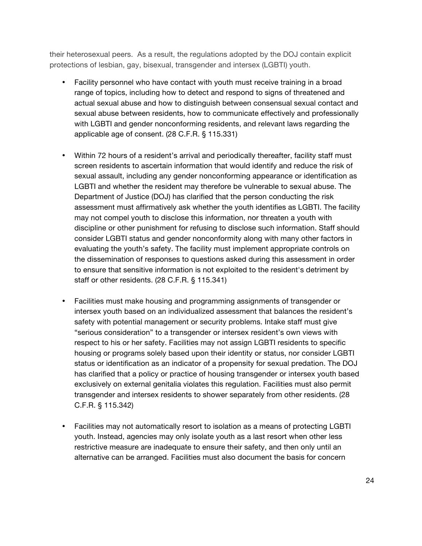their heterosexual peers. As a result, the regulations adopted by the DOJ contain explicit protections of lesbian, gay, bisexual, transgender and intersex (LGBTI) youth.

- Facility personnel who have contact with youth must receive training in a broad range of topics, including how to detect and respond to signs of threatened and actual sexual abuse and how to distinguish between consensual sexual contact and sexual abuse between residents, how to communicate effectively and professionally with LGBTI and gender nonconforming residents, and relevant laws regarding the applicable age of consent. (28 C.F.R. § 115.331)
- Within 72 hours of a resident's arrival and periodically thereafter, facility staff must screen residents to ascertain information that would identify and reduce the risk of sexual assault, including any gender nonconforming appearance or identification as LGBTI and whether the resident may therefore be vulnerable to sexual abuse. The Department of Justice (DOJ) has clarified that the person conducting the risk assessment must affirmatively ask whether the youth identifies as LGBTI. The facility may not compel youth to disclose this information, nor threaten a youth with discipline or other punishment for refusing to disclose such information. Staff should consider LGBTI status and gender nonconformity along with many other factors in evaluating the youth's safety. The facility must implement appropriate controls on the dissemination of responses to questions asked during this assessment in order to ensure that sensitive information is not exploited to the resident's detriment by staff or other residents. (28 C.F.R. § 115.341)
- Facilities must make housing and programming assignments of transgender or intersex youth based on an individualized assessment that balances the resident's safety with potential management or security problems. Intake staff must give "serious consideration" to a transgender or intersex resident's own views with respect to his or her safety. Facilities may not assign LGBTI residents to specific housing or programs solely based upon their identity or status, nor consider LGBTI status or identification as an indicator of a propensity for sexual predation. The DOJ has clarified that a policy or practice of housing transgender or intersex youth based exclusively on external genitalia violates this regulation. Facilities must also permit transgender and intersex residents to shower separately from other residents. (28 C.F.R. § 115.342)
- Facilities may not automatically resort to isolation as a means of protecting LGBTI youth. Instead, agencies may only isolate youth as a last resort when other less restrictive measure are inadequate to ensure their safety, and then only until an alternative can be arranged. Facilities must also document the basis for concern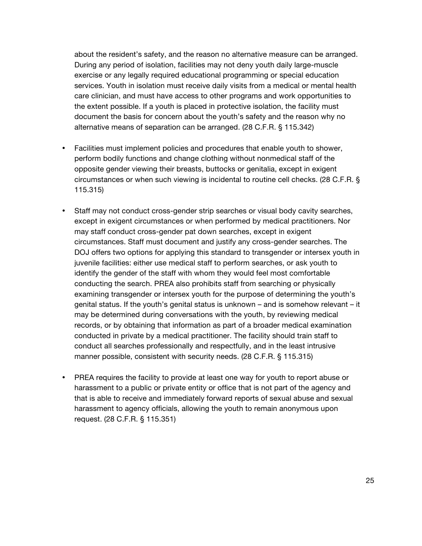about the resident's safety, and the reason no alternative measure can be arranged. During any period of isolation, facilities may not deny youth daily large-muscle exercise or any legally required educational programming or special education services. Youth in isolation must receive daily visits from a medical or mental health care clinician, and must have access to other programs and work opportunities to the extent possible. If a youth is placed in protective isolation, the facility must document the basis for concern about the youth's safety and the reason why no alternative means of separation can be arranged. (28 C.F.R. § 115.342)

- Facilities must implement policies and procedures that enable youth to shower, perform bodily functions and change clothing without nonmedical staff of the opposite gender viewing their breasts, buttocks or genitalia, except in exigent circumstances or when such viewing is incidental to routine cell checks. (28 C.F.R. § 115.315)
- Staff may not conduct cross-gender strip searches or visual body cavity searches, except in exigent circumstances or when performed by medical practitioners. Nor may staff conduct cross-gender pat down searches, except in exigent circumstances. Staff must document and justify any cross-gender searches. The DOJ offers two options for applying this standard to transgender or intersex youth in juvenile facilities: either use medical staff to perform searches, or ask youth to identify the gender of the staff with whom they would feel most comfortable conducting the search. PREA also prohibits staff from searching or physically examining transgender or intersex youth for the purpose of determining the youth's genital status. If the youth's genital status is unknown – and is somehow relevant – it may be determined during conversations with the youth, by reviewing medical records, or by obtaining that information as part of a broader medical examination conducted in private by a medical practitioner. The facility should train staff to conduct all searches professionally and respectfully, and in the least intrusive manner possible, consistent with security needs. (28 C.F.R. § 115.315)
- PREA requires the facility to provide at least one way for youth to report abuse or harassment to a public or private entity or office that is not part of the agency and that is able to receive and immediately forward reports of sexual abuse and sexual harassment to agency officials, allowing the youth to remain anonymous upon request. (28 C.F.R. § 115.351)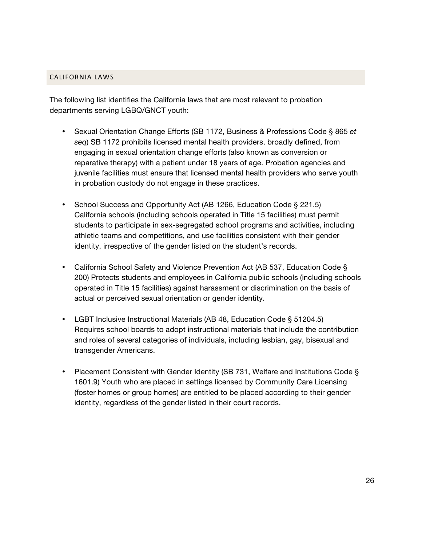#### CALIFORNIA LAWS

The following list identifies the California laws that are most relevant to probation departments serving LGBQ/GNCT youth:

- Sexual Orientation Change Efforts (SB 1172, Business & Professions Code § 865 *et seq*) SB 1172 prohibits licensed mental health providers, broadly defined, from engaging in sexual orientation change efforts (also known as conversion or reparative therapy) with a patient under 18 years of age. Probation agencies and juvenile facilities must ensure that licensed mental health providers who serve youth in probation custody do not engage in these practices.
- School Success and Opportunity Act (AB 1266, Education Code § 221.5) California schools (including schools operated in Title 15 facilities) must permit students to participate in sex-segregated school programs and activities, including athletic teams and competitions, and use facilities consistent with their gender identity, irrespective of the gender listed on the student's records.
- California School Safety and Violence Prevention Act (AB 537, Education Code § 200) Protects students and employees in California public schools (including schools operated in Title 15 facilities) against harassment or discrimination on the basis of actual or perceived sexual orientation or gender identity.
- LGBT Inclusive Instructional Materials (AB 48, Education Code § 51204.5) Requires school boards to adopt instructional materials that include the contribution and roles of several categories of individuals, including lesbian, gay, bisexual and transgender Americans.
- Placement Consistent with Gender Identity (SB 731, Welfare and Institutions Code § 1601.9) Youth who are placed in settings licensed by Community Care Licensing (foster homes or group homes) are entitled to be placed according to their gender identity, regardless of the gender listed in their court records.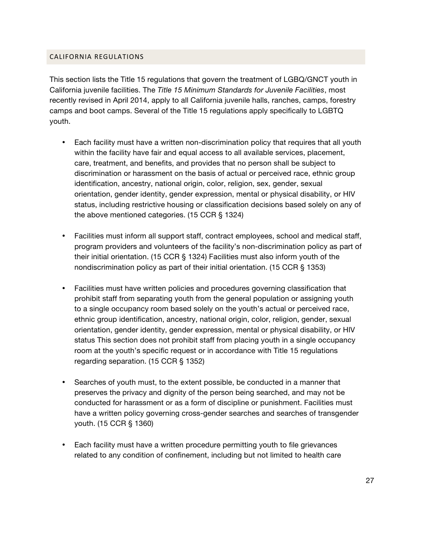#### CALIFORNIA REGULATIONS

This section lists the Title 15 regulations that govern the treatment of LGBQ/GNCT youth in California juvenile facilities. The *Title 15 Minimum Standards for Juvenile Facilities*, most recently revised in April 2014, apply to all California juvenile halls, ranches, camps, forestry camps and boot camps. Several of the Title 15 regulations apply specifically to LGBTQ youth.

- Each facility must have a written non-discrimination policy that requires that all youth within the facility have fair and equal access to all available services, placement, care, treatment, and benefits, and provides that no person shall be subject to discrimination or harassment on the basis of actual or perceived race, ethnic group identification, ancestry, national origin, color, religion, sex, gender, sexual orientation, gender identity, gender expression, mental or physical disability, or HIV status, including restrictive housing or classification decisions based solely on any of the above mentioned categories. (15 CCR § 1324)
- Facilities must inform all support staff, contract employees, school and medical staff, program providers and volunteers of the facility's non-discrimination policy as part of their initial orientation. (15 CCR § 1324) Facilities must also inform youth of the nondiscrimination policy as part of their initial orientation. (15 CCR § 1353)
- Facilities must have written policies and procedures governing classification that prohibit staff from separating youth from the general population or assigning youth to a single occupancy room based solely on the youth's actual or perceived race, ethnic group identification, ancestry, national origin, color, religion, gender, sexual orientation, gender identity, gender expression, mental or physical disability, or HIV status This section does not prohibit staff from placing youth in a single occupancy room at the youth's specific request or in accordance with Title 15 regulations regarding separation. (15 CCR § 1352)
- Searches of youth must, to the extent possible, be conducted in a manner that preserves the privacy and dignity of the person being searched, and may not be conducted for harassment or as a form of discipline or punishment. Facilities must have a written policy governing cross-gender searches and searches of transgender youth. (15 CCR § 1360)
- Each facility must have a written procedure permitting youth to file grievances related to any condition of confinement, including but not limited to health care